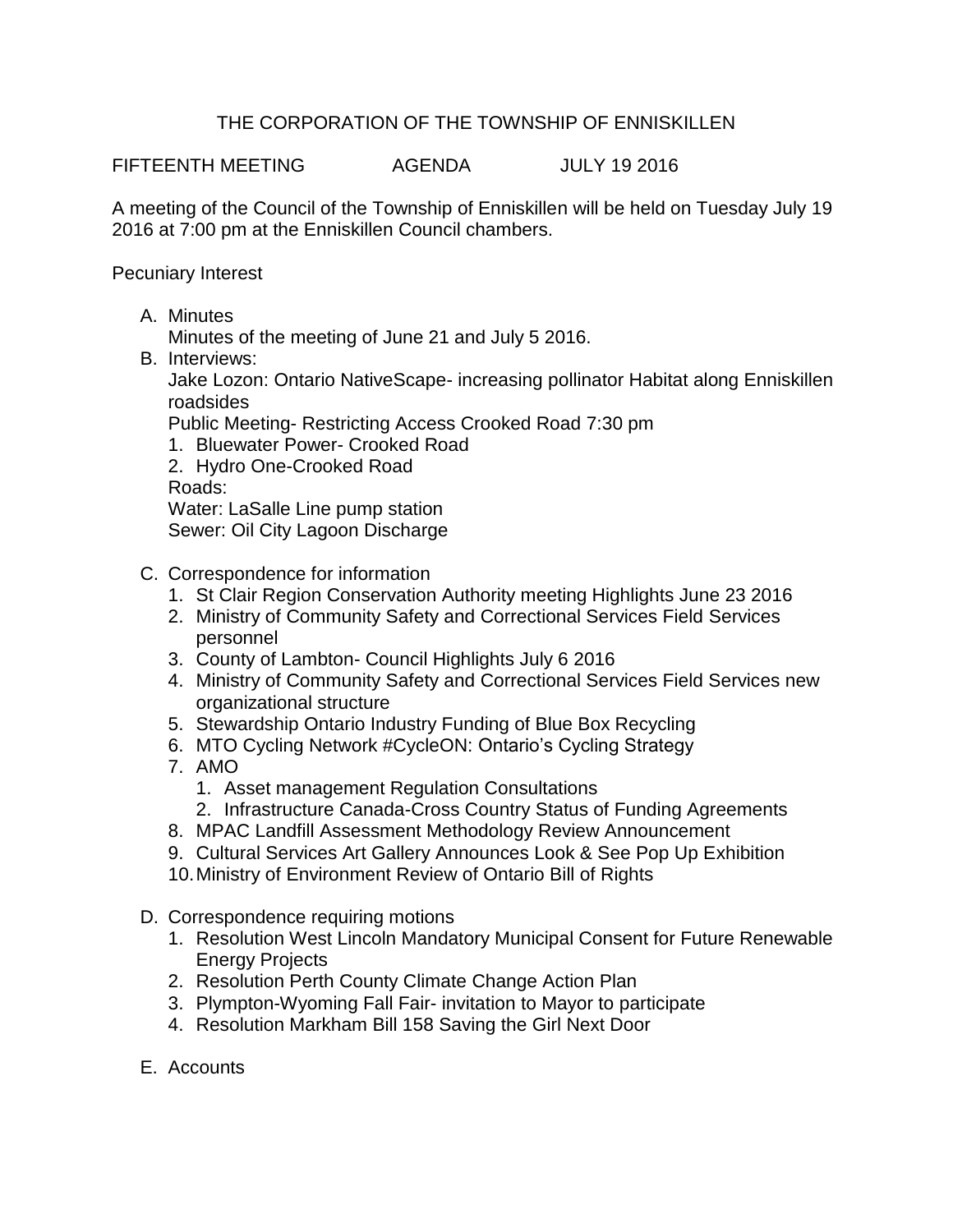## THE CORPORATION OF THE TOWNSHIP OF ENNISKILLEN

FIFTEENTH MEETING AGENDA JULY 19 2016

A meeting of the Council of the Township of Enniskillen will be held on Tuesday July 19 2016 at 7:00 pm at the Enniskillen Council chambers.

Pecuniary Interest

A. Minutes

Minutes of the meeting of June 21 and July 5 2016.

B. Interviews:

Jake Lozon: Ontario NativeScape- increasing pollinator Habitat along Enniskillen roadsides

Public Meeting- Restricting Access Crooked Road 7:30 pm

- 1. Bluewater Power- Crooked Road
- 2. Hydro One-Crooked Road

Roads:

Water: LaSalle Line pump station

Sewer: Oil City Lagoon Discharge

- C. Correspondence for information
	- 1. St Clair Region Conservation Authority meeting Highlights June 23 2016
	- 2. Ministry of Community Safety and Correctional Services Field Services personnel
	- 3. County of Lambton- Council Highlights July 6 2016
	- 4. Ministry of Community Safety and Correctional Services Field Services new organizational structure
	- 5. Stewardship Ontario Industry Funding of Blue Box Recycling
	- 6. MTO Cycling Network #CycleON: Ontario's Cycling Strategy
	- 7. AMO
		- 1. Asset management Regulation Consultations
		- 2. Infrastructure Canada-Cross Country Status of Funding Agreements
	- 8. MPAC Landfill Assessment Methodology Review Announcement
	- 9. Cultural Services Art Gallery Announces Look & See Pop Up Exhibition
	- 10.Ministry of Environment Review of Ontario Bill of Rights
- D. Correspondence requiring motions
	- 1. Resolution West Lincoln Mandatory Municipal Consent for Future Renewable Energy Projects
	- 2. Resolution Perth County Climate Change Action Plan
	- 3. Plympton-Wyoming Fall Fair- invitation to Mayor to participate
	- 4. Resolution Markham Bill 158 Saving the Girl Next Door
- E. Accounts